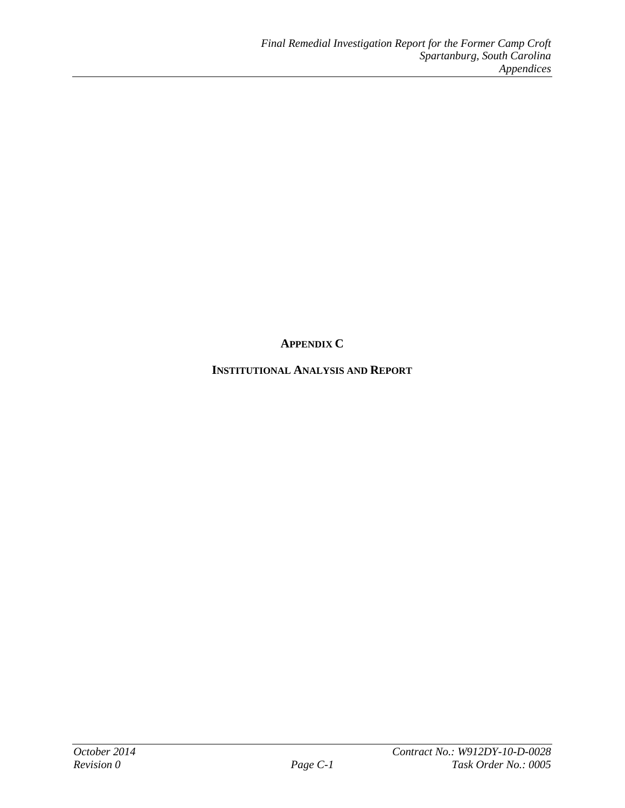# **APPENDIX C**

## **INSTITUTIONAL ANALYSIS AND REPORT**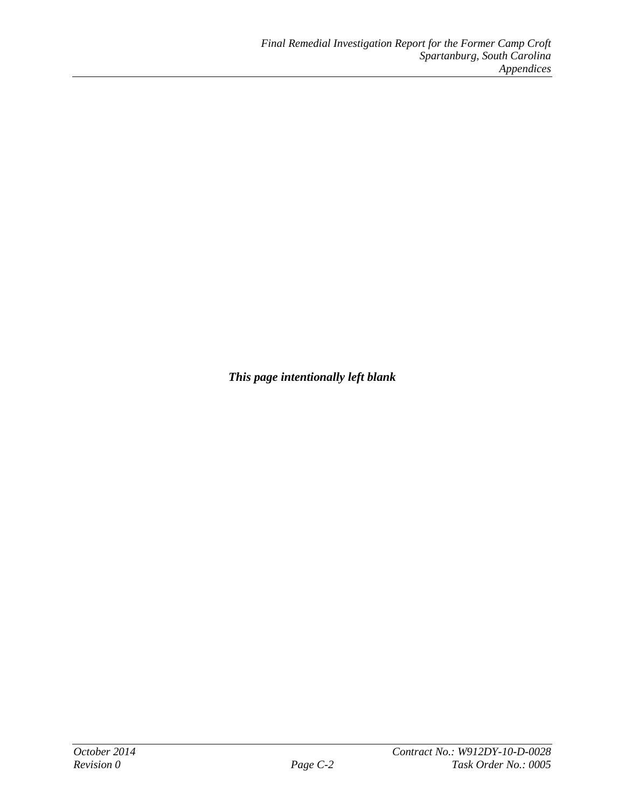*This page intentionally left blank*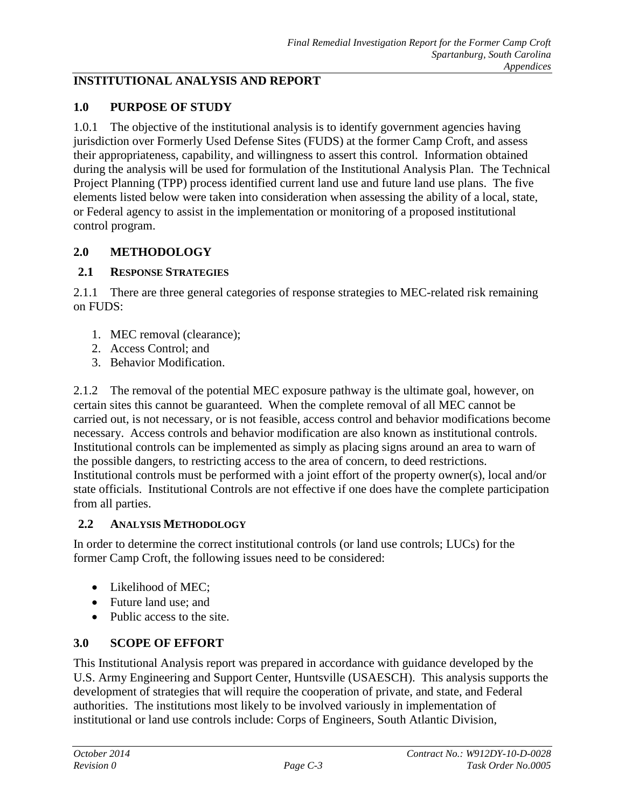# **INSTITUTIONAL ANALYSIS AND REPORT**

# **1.0 PURPOSE OF STUDY**

1.0.1 The objective of the institutional analysis is to identify government agencies having jurisdiction over Formerly Used Defense Sites (FUDS) at the former Camp Croft, and assess their appropriateness, capability, and willingness to assert this control. Information obtained during the analysis will be used for formulation of the Institutional Analysis Plan. The Technical Project Planning (TPP) process identified current land use and future land use plans. The five elements listed below were taken into consideration when assessing the ability of a local, state, or Federal agency to assist in the implementation or monitoring of a proposed institutional control program.

## **2.0 METHODOLOGY**

### **2.1 RESPONSE STRATEGIES**

2.1.1 There are three general categories of response strategies to MEC-related risk remaining on FUDS:

- 1. MEC removal (clearance);
- 2. Access Control; and
- 3. Behavior Modification.

2.1.2 The removal of the potential MEC exposure pathway is the ultimate goal, however, on certain sites this cannot be guaranteed. When the complete removal of all MEC cannot be carried out, is not necessary, or is not feasible, access control and behavior modifications become necessary. Access controls and behavior modification are also known as institutional controls. Institutional controls can be implemented as simply as placing signs around an area to warn of the possible dangers, to restricting access to the area of concern, to deed restrictions. Institutional controls must be performed with a joint effort of the property owner(s), local and/or state officials. Institutional Controls are not effective if one does have the complete participation from all parties.

## **2.2 ANALYSIS METHODOLOGY**

In order to determine the correct institutional controls (or land use controls; LUCs) for the former Camp Croft, the following issues need to be considered:

- Likelihood of MEC:
- Future land use: and
- Public access to the site.

## **3.0 SCOPE OF EFFORT**

This Institutional Analysis report was prepared in accordance with guidance developed by the U.S. Army Engineering and Support Center, Huntsville (USAESCH). This analysis supports the development of strategies that will require the cooperation of private, and state, and Federal authorities. The institutions most likely to be involved variously in implementation of institutional or land use controls include: Corps of Engineers, South Atlantic Division,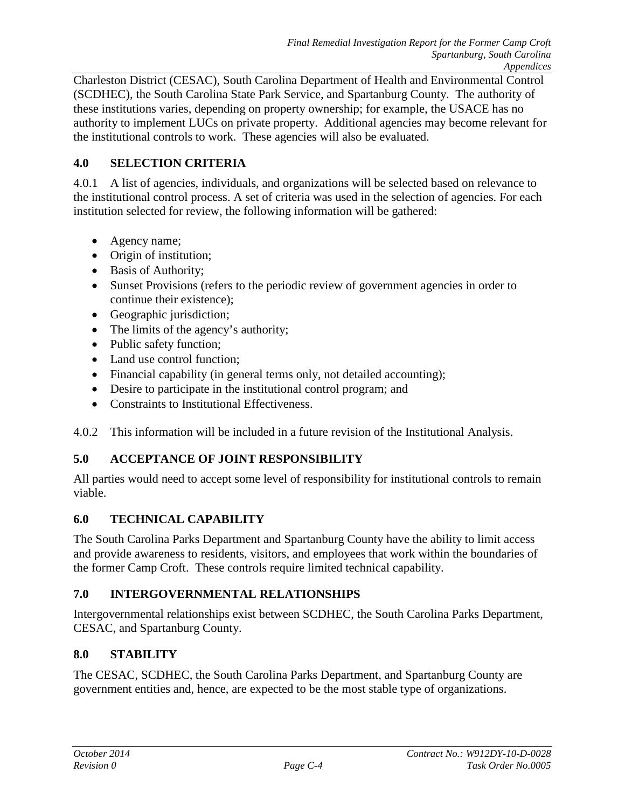Charleston District (CESAC), South Carolina Department of Health and Environmental Control (SCDHEC), the South Carolina State Park Service, and Spartanburg County. The authority of these institutions varies, depending on property ownership; for example, the USACE has no authority to implement LUCs on private property. Additional agencies may become relevant for the institutional controls to work. These agencies will also be evaluated.

# **4.0 SELECTION CRITERIA**

4.0.1 A list of agencies, individuals, and organizations will be selected based on relevance to the institutional control process. A set of criteria was used in the selection of agencies. For each institution selected for review, the following information will be gathered:

- Agency name;
- Origin of institution;
- Basis of Authority;
- Sunset Provisions (refers to the periodic review of government agencies in order to continue their existence);
- Geographic jurisdiction;
- The limits of the agency's authority;
- Public safety function;
- Land use control function;
- Financial capability (in general terms only, not detailed accounting);
- Desire to participate in the institutional control program; and
- Constraints to Institutional Effectiveness.

4.0.2 This information will be included in a future revision of the Institutional Analysis.

## **5.0 ACCEPTANCE OF JOINT RESPONSIBILITY**

All parties would need to accept some level of responsibility for institutional controls to remain viable.

# **6.0 TECHNICAL CAPABILITY**

The South Carolina Parks Department and Spartanburg County have the ability to limit access and provide awareness to residents, visitors, and employees that work within the boundaries of the former Camp Croft. These controls require limited technical capability.

# **7.0 INTERGOVERNMENTAL RELATIONSHIPS**

Intergovernmental relationships exist between SCDHEC, the South Carolina Parks Department, CESAC, and Spartanburg County.

# **8.0 STABILITY**

The CESAC, SCDHEC, the South Carolina Parks Department, and Spartanburg County are government entities and, hence, are expected to be the most stable type of organizations.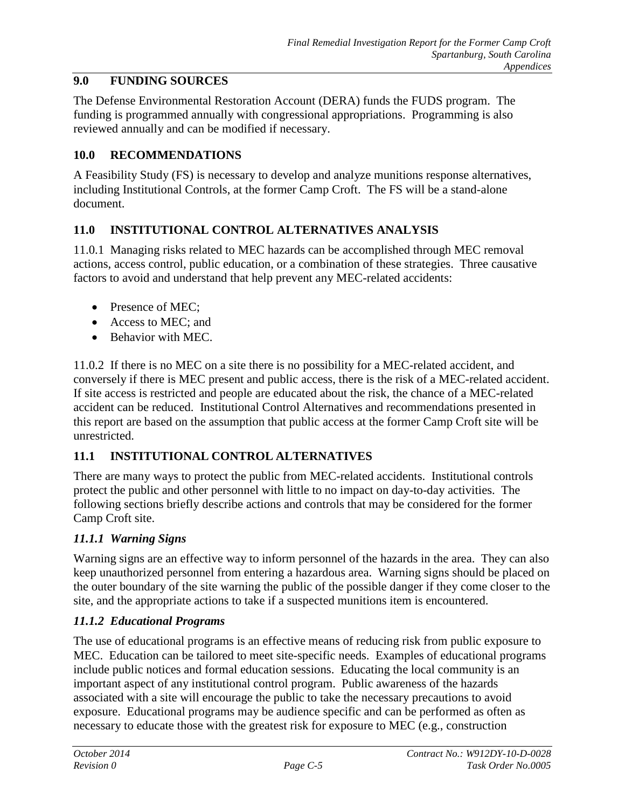# **9.0 FUNDING SOURCES**

The Defense Environmental Restoration Account (DERA) funds the FUDS program. The funding is programmed annually with congressional appropriations. Programming is also reviewed annually and can be modified if necessary.

### **10.0 RECOMMENDATIONS**

A Feasibility Study (FS) is necessary to develop and analyze munitions response alternatives, including Institutional Controls, at the former Camp Croft. The FS will be a stand-alone document.

## **11.0 INSTITUTIONAL CONTROL ALTERNATIVES ANALYSIS**

11.0.1 Managing risks related to MEC hazards can be accomplished through MEC removal actions, access control, public education, or a combination of these strategies. Three causative factors to avoid and understand that help prevent any MEC-related accidents:

- Presence of MEC;
- Access to MEC: and
- Behavior with MEC.

11.0.2 If there is no MEC on a site there is no possibility for a MEC-related accident, and conversely if there is MEC present and public access, there is the risk of a MEC-related accident. If site access is restricted and people are educated about the risk, the chance of a MEC-related accident can be reduced. Institutional Control Alternatives and recommendations presented in this report are based on the assumption that public access at the former Camp Croft site will be unrestricted.

#### **11.1 INSTITUTIONAL CONTROL ALTERNATIVES**

There are many ways to protect the public from MEC-related accidents. Institutional controls protect the public and other personnel with little to no impact on day-to-day activities. The following sections briefly describe actions and controls that may be considered for the former Camp Croft site.

#### *11.1.1 Warning Signs*

Warning signs are an effective way to inform personnel of the hazards in the area. They can also keep unauthorized personnel from entering a hazardous area. Warning signs should be placed on the outer boundary of the site warning the public of the possible danger if they come closer to the site, and the appropriate actions to take if a suspected munitions item is encountered.

#### *11.1.2 Educational Programs*

The use of educational programs is an effective means of reducing risk from public exposure to MEC. Education can be tailored to meet site-specific needs. Examples of educational programs include public notices and formal education sessions. Educating the local community is an important aspect of any institutional control program. Public awareness of the hazards associated with a site will encourage the public to take the necessary precautions to avoid exposure. Educational programs may be audience specific and can be performed as often as necessary to educate those with the greatest risk for exposure to MEC (e.g., construction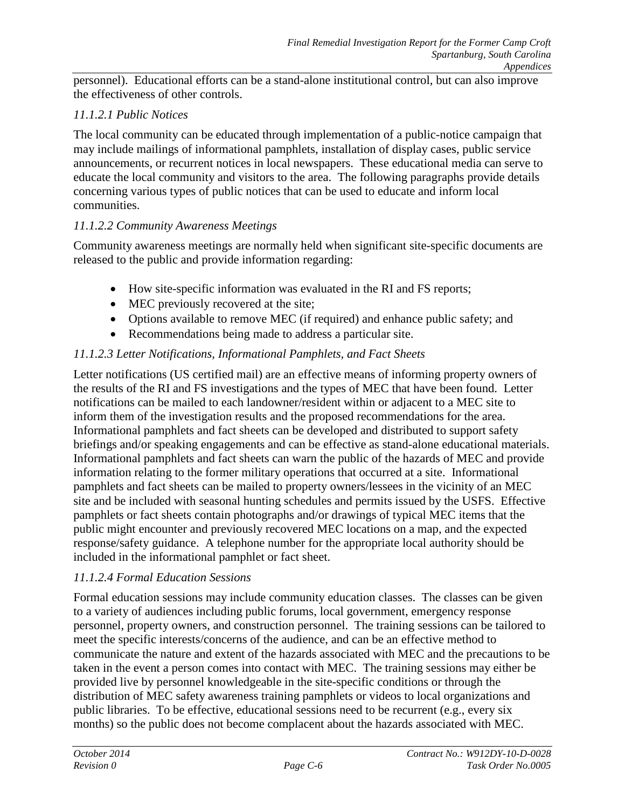personnel). Educational efforts can be a stand-alone institutional control, but can also improve the effectiveness of other controls.

## *11.1.2.1 Public Notices*

The local community can be educated through implementation of a public-notice campaign that may include mailings of informational pamphlets, installation of display cases, public service announcements, or recurrent notices in local newspapers. These educational media can serve to educate the local community and visitors to the area. The following paragraphs provide details concerning various types of public notices that can be used to educate and inform local communities.

#### *11.1.2.2 Community Awareness Meetings*

Community awareness meetings are normally held when significant site-specific documents are released to the public and provide information regarding:

- How site-specific information was evaluated in the RI and FS reports;
- MEC previously recovered at the site;
- Options available to remove MEC (if required) and enhance public safety; and
- Recommendations being made to address a particular site.

#### *11.1.2.3 Letter Notifications, Informational Pamphlets, and Fact Sheets*

Letter notifications (US certified mail) are an effective means of informing property owners of the results of the RI and FS investigations and the types of MEC that have been found. Letter notifications can be mailed to each landowner/resident within or adjacent to a MEC site to inform them of the investigation results and the proposed recommendations for the area. Informational pamphlets and fact sheets can be developed and distributed to support safety briefings and/or speaking engagements and can be effective as stand-alone educational materials. Informational pamphlets and fact sheets can warn the public of the hazards of MEC and provide information relating to the former military operations that occurred at a site. Informational pamphlets and fact sheets can be mailed to property owners/lessees in the vicinity of an MEC site and be included with seasonal hunting schedules and permits issued by the USFS. Effective pamphlets or fact sheets contain photographs and/or drawings of typical MEC items that the public might encounter and previously recovered MEC locations on a map, and the expected response/safety guidance. A telephone number for the appropriate local authority should be included in the informational pamphlet or fact sheet.

#### *11.1.2.4 Formal Education Sessions*

Formal education sessions may include community education classes. The classes can be given to a variety of audiences including public forums, local government, emergency response personnel, property owners, and construction personnel. The training sessions can be tailored to meet the specific interests/concerns of the audience, and can be an effective method to communicate the nature and extent of the hazards associated with MEC and the precautions to be taken in the event a person comes into contact with MEC. The training sessions may either be provided live by personnel knowledgeable in the site-specific conditions or through the distribution of MEC safety awareness training pamphlets or videos to local organizations and public libraries. To be effective, educational sessions need to be recurrent (e.g., every six months) so the public does not become complacent about the hazards associated with MEC.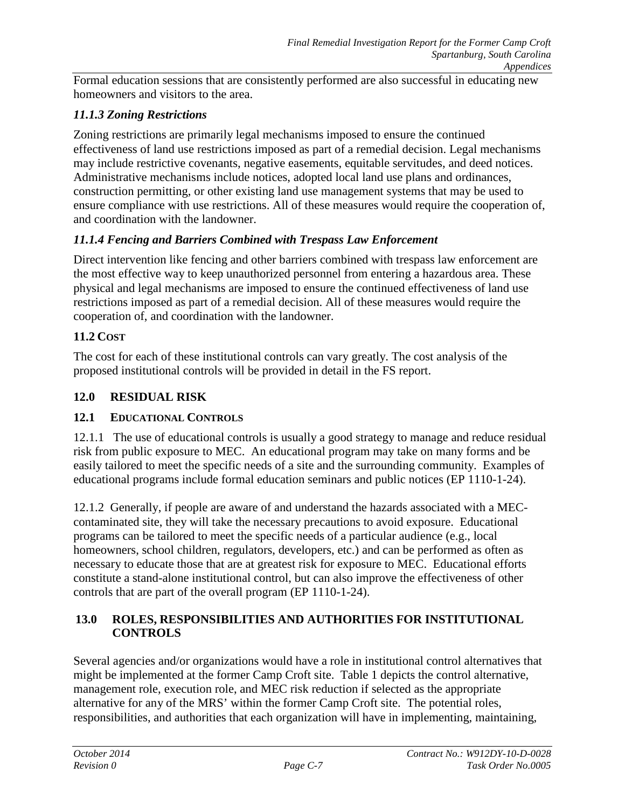Formal education sessions that are consistently performed are also successful in educating new homeowners and visitors to the area.

# *11.1.3 Zoning Restrictions*

Zoning restrictions are primarily legal mechanisms imposed to ensure the continued effectiveness of land use restrictions imposed as part of a remedial decision. Legal mechanisms may include restrictive covenants, negative easements, equitable servitudes, and deed notices. Administrative mechanisms include notices, adopted local land use plans and ordinances, construction permitting, or other existing land use management systems that may be used to ensure compliance with use restrictions. All of these measures would require the cooperation of, and coordination with the landowner.

## *11.1.4 Fencing and Barriers Combined with Trespass Law Enforcement*

Direct intervention like fencing and other barriers combined with trespass law enforcement are the most effective way to keep unauthorized personnel from entering a hazardous area. These physical and legal mechanisms are imposed to ensure the continued effectiveness of land use restrictions imposed as part of a remedial decision. All of these measures would require the cooperation of, and coordination with the landowner.

# **11.2 COST**

The cost for each of these institutional controls can vary greatly. The cost analysis of the proposed institutional controls will be provided in detail in the FS report.

# **12.0 RESIDUAL RISK**

## **12.1 EDUCATIONAL CONTROLS**

12.1.1 The use of educational controls is usually a good strategy to manage and reduce residual risk from public exposure to MEC. An educational program may take on many forms and be easily tailored to meet the specific needs of a site and the surrounding community. Examples of educational programs include formal education seminars and public notices (EP 1110-1-24).

12.1.2 Generally, if people are aware of and understand the hazards associated with a MECcontaminated site, they will take the necessary precautions to avoid exposure. Educational programs can be tailored to meet the specific needs of a particular audience (e.g., local homeowners, school children, regulators, developers, etc.) and can be performed as often as necessary to educate those that are at greatest risk for exposure to MEC. Educational efforts constitute a stand-alone institutional control, but can also improve the effectiveness of other controls that are part of the overall program (EP 1110-1-24).

## **13.0 ROLES, RESPONSIBILITIES AND AUTHORITIES FOR INSTITUTIONAL CONTROLS**

Several agencies and/or organizations would have a role in institutional control alternatives that might be implemented at the former Camp Croft site. Table 1 depicts the control alternative, management role, execution role, and MEC risk reduction if selected as the appropriate alternative for any of the MRS' within the former Camp Croft site. The potential roles, responsibilities, and authorities that each organization will have in implementing, maintaining,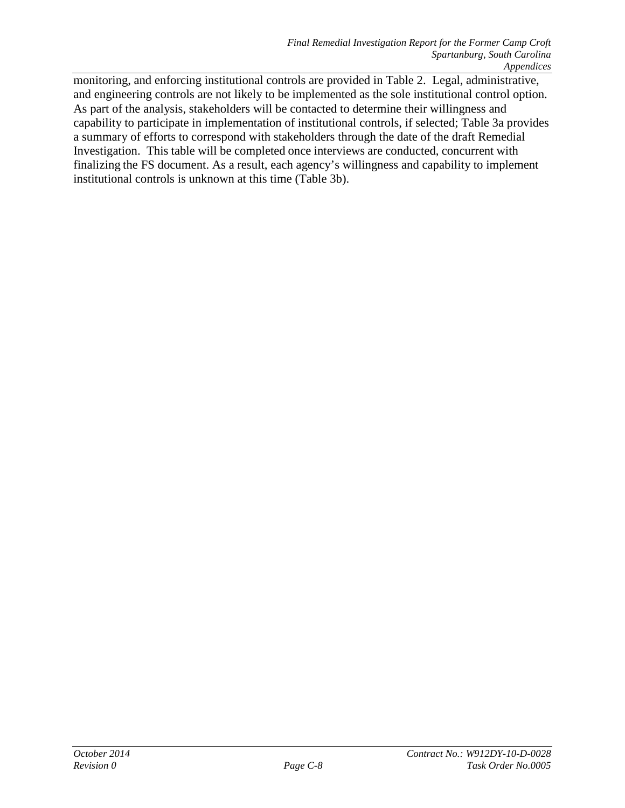monitoring, and enforcing institutional controls are provided in Table 2. Legal, administrative, and engineering controls are not likely to be implemented as the sole institutional control option. As part of the analysis, stakeholders will be contacted to determine their willingness and capability to participate in implementation of institutional controls, if selected; Table 3a provides a summary of efforts to correspond with stakeholders through the date of the draft Remedial Investigation. This table will be completed once interviews are conducted, concurrent with finalizing the FS document. As a result, each agency's willingness and capability to implement institutional controls is unknown at this time (Table 3b).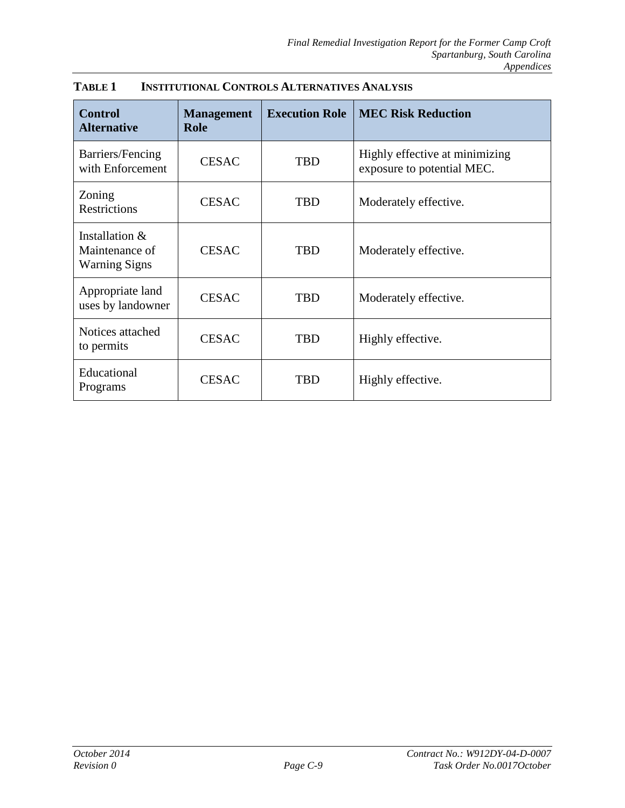| <b>Control</b><br><b>Alternative</b>                     | <b>Management</b><br><b>Role</b> | <b>Execution Role</b> | <b>MEC Risk Reduction</b>                                    |  |
|----------------------------------------------------------|----------------------------------|-----------------------|--------------------------------------------------------------|--|
| Barriers/Fencing<br>with Enforcement                     | <b>CESAC</b>                     | <b>TBD</b>            | Highly effective at minimizing<br>exposure to potential MEC. |  |
| Zoning<br><b>Restrictions</b>                            | <b>CESAC</b>                     | <b>TBD</b>            | Moderately effective.                                        |  |
| Installation &<br>Maintenance of<br><b>Warning Signs</b> | <b>CESAC</b>                     | <b>TBD</b>            | Moderately effective.                                        |  |
| Appropriate land<br>uses by landowner                    | <b>CESAC</b>                     | TBD                   | Moderately effective.                                        |  |
| Notices attached<br>to permits                           | <b>CESAC</b>                     | <b>TBD</b>            | Highly effective.                                            |  |
| Educational<br>Programs                                  | <b>CESAC</b>                     | TBD                   | Highly effective.                                            |  |

### **TABLE 1 INSTITUTIONAL CONTROLS ALTERNATIVES ANALYSIS**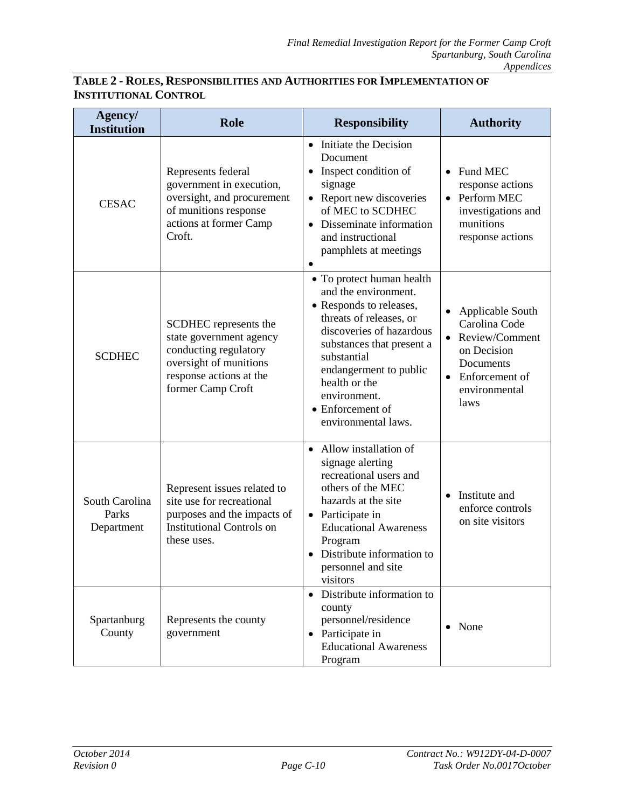# **TABLE 2 - ROLES, RESPONSIBILITIES AND AUTHORITIES FOR IMPLEMENTATION OF INSTITUTIONAL CONTROL**

| Agency/<br><b>Institution</b>         | <b>Role</b>                                                                                                                                         | <b>Responsibility</b>                                                                                                                                                                                                                                                                 | <b>Authority</b>                                                                                                                                     |
|---------------------------------------|-----------------------------------------------------------------------------------------------------------------------------------------------------|---------------------------------------------------------------------------------------------------------------------------------------------------------------------------------------------------------------------------------------------------------------------------------------|------------------------------------------------------------------------------------------------------------------------------------------------------|
| <b>CESAC</b>                          | Represents federal<br>government in execution,<br>oversight, and procurement<br>of munitions response<br>actions at former Camp<br>Croft.           | Initiate the Decision<br>$\bullet$<br>Document<br>• Inspect condition of<br>signage<br>• Report new discoveries<br>of MEC to SCDHEC<br>Disseminate information<br>and instructional<br>pamphlets at meetings                                                                          | Fund MEC<br>$\bullet$<br>response actions<br>Perform MEC<br>$\bullet$<br>investigations and<br>munitions<br>response actions                         |
| <b>SCDHEC</b>                         | SCDHEC represents the<br>state government agency<br>conducting regulatory<br>oversight of munitions<br>response actions at the<br>former Camp Croft | • To protect human health<br>and the environment.<br>• Responds to releases,<br>threats of releases, or<br>discoveries of hazardous<br>substances that present a<br>substantial<br>endangerment to public<br>health or the<br>environment.<br>• Enforcement of<br>environmental laws. | Applicable South<br>Carolina Code<br>Review/Comment<br>$\bullet$<br>on Decision<br>Documents<br>Enforcement of<br>$\bullet$<br>environmental<br>laws |
| South Carolina<br>Parks<br>Department | Represent issues related to<br>site use for recreational<br>purposes and the impacts of<br><b>Institutional Controls on</b><br>these uses.          | • Allow installation of<br>signage alerting<br>recreational users and<br>others of the MEC<br>hazards at the site<br>• Participate in<br><b>Educational Awareness</b><br>Program<br>Distribute information to<br>personnel and site<br>visitors                                       | Institute and<br>$\bullet$<br>enforce controls<br>on site visitors                                                                                   |
| Spartanburg<br>County                 | Represents the county<br>government                                                                                                                 | Distribute information to<br>$\bullet$<br>county<br>personnel/residence<br>Participate in<br><b>Educational Awareness</b><br>Program                                                                                                                                                  | • None                                                                                                                                               |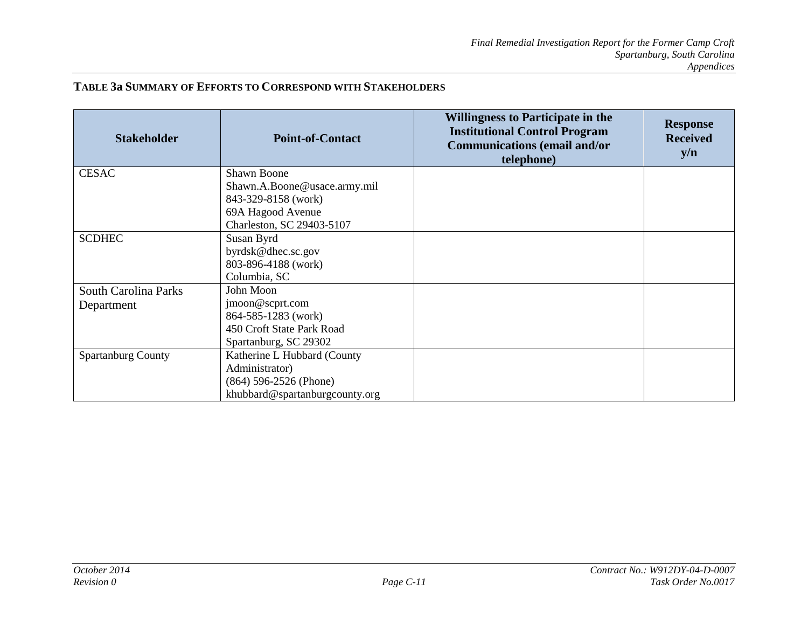| <b>Stakeholder</b>        | <b>Point-of-Contact</b>        | <b>Willingness to Participate in the</b><br><b>Institutional Control Program</b><br><b>Communications (email and/or</b><br>telephone) | <b>Response</b><br><b>Received</b><br>y/n |
|---------------------------|--------------------------------|---------------------------------------------------------------------------------------------------------------------------------------|-------------------------------------------|
| <b>CESAC</b>              | <b>Shawn Boone</b>             |                                                                                                                                       |                                           |
|                           | Shawn.A.Boone@usace.army.mil   |                                                                                                                                       |                                           |
|                           | 843-329-8158 (work)            |                                                                                                                                       |                                           |
|                           | 69A Hagood Avenue              |                                                                                                                                       |                                           |
|                           | Charleston, SC 29403-5107      |                                                                                                                                       |                                           |
| <b>SCDHEC</b>             | Susan Byrd                     |                                                                                                                                       |                                           |
|                           | byrdsk@dhec.sc.gov             |                                                                                                                                       |                                           |
|                           | 803-896-4188 (work)            |                                                                                                                                       |                                           |
|                           | Columbia, SC                   |                                                                                                                                       |                                           |
| South Carolina Parks      | John Moon                      |                                                                                                                                       |                                           |
| Department                | jmoon@scprt.com                |                                                                                                                                       |                                           |
|                           | 864-585-1283 (work)            |                                                                                                                                       |                                           |
|                           | 450 Croft State Park Road      |                                                                                                                                       |                                           |
|                           | Spartanburg, SC 29302          |                                                                                                                                       |                                           |
| <b>Spartanburg County</b> | Katherine L Hubbard (County    |                                                                                                                                       |                                           |
|                           | Administrator)                 |                                                                                                                                       |                                           |
|                           | $(864)$ 596-2526 (Phone)       |                                                                                                                                       |                                           |
|                           | khubbard@spartanburgcounty.org |                                                                                                                                       |                                           |

### **TABLE 3a SUMMARY OF EFFORTS TO CORRESPOND WITH STAKEHOLDERS**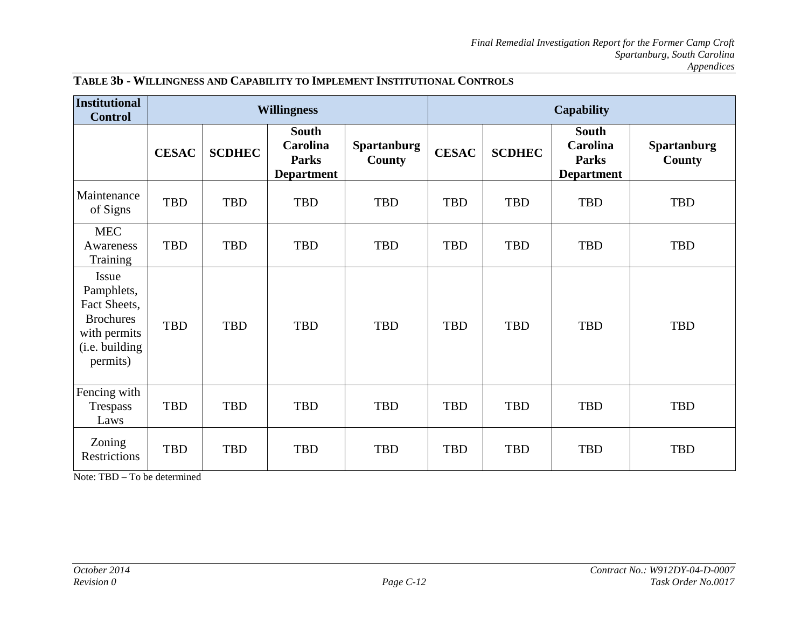| <b>Institutional</b><br><b>Control</b>                                                                | <b>Willingness</b> |               |                                                               | <b>Capability</b>            |              |               |                                                                      |                                     |
|-------------------------------------------------------------------------------------------------------|--------------------|---------------|---------------------------------------------------------------|------------------------------|--------------|---------------|----------------------------------------------------------------------|-------------------------------------|
|                                                                                                       | <b>CESAC</b>       | <b>SCDHEC</b> | <b>South</b><br>Carolina<br><b>Parks</b><br><b>Department</b> | <b>Spartanburg</b><br>County | <b>CESAC</b> | <b>SCDHEC</b> | <b>South</b><br><b>Carolina</b><br><b>Parks</b><br><b>Department</b> | <b>Spartanburg</b><br><b>County</b> |
| Maintenance<br>of Signs                                                                               | <b>TBD</b>         | <b>TBD</b>    | <b>TBD</b>                                                    | <b>TBD</b>                   | <b>TBD</b>   | <b>TBD</b>    | <b>TBD</b>                                                           | TBD                                 |
| <b>MEC</b><br>Awareness<br>Training                                                                   | TBD                | TBD           | TBD                                                           | <b>TBD</b>                   | TBD          | <b>TBD</b>    | <b>TBD</b>                                                           | TBD                                 |
| Issue<br>Pamphlets,<br>Fact Sheets,<br><b>Brochures</b><br>with permits<br>(i.e. building<br>permits) | <b>TBD</b>         | <b>TBD</b>    | <b>TBD</b>                                                    | <b>TBD</b>                   | <b>TBD</b>   | <b>TBD</b>    | <b>TBD</b>                                                           | TBD                                 |
| Fencing with<br>Trespass<br>Laws                                                                      | TBD                | <b>TBD</b>    | <b>TBD</b>                                                    | <b>TBD</b>                   | <b>TBD</b>   | <b>TBD</b>    | <b>TBD</b>                                                           | TBD                                 |
| Zoning<br>Restrictions                                                                                | TBD                | <b>TBD</b>    | TBD                                                           | <b>TBD</b>                   | <b>TBD</b>   | <b>TBD</b>    | <b>TBD</b>                                                           | TBD                                 |

# **TABLE 3b - WILLINGNESS AND CAPABILITY TO IMPLEMENT INSTITUTIONAL CONTROLS**

Note: TBD – To be determined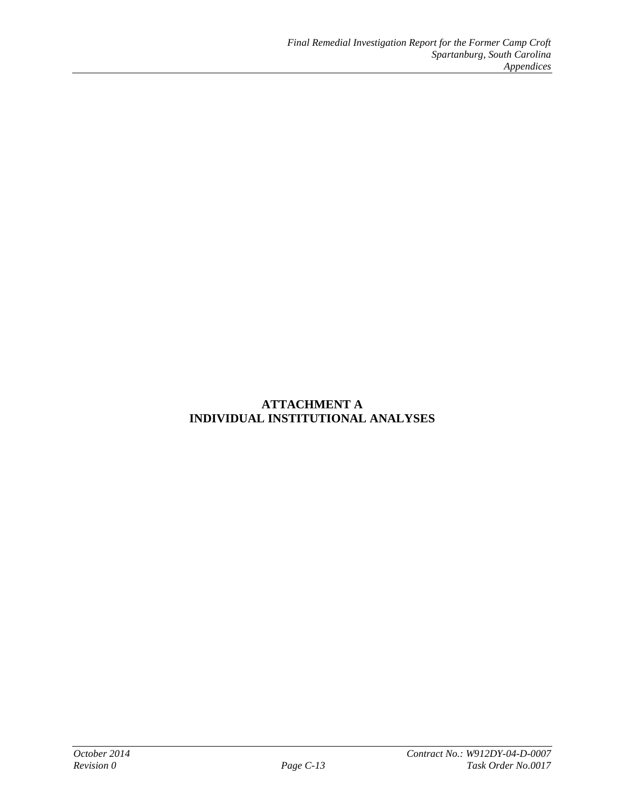# **ATTACHMENT A INDIVIDUAL INSTITUTIONAL ANALYSES**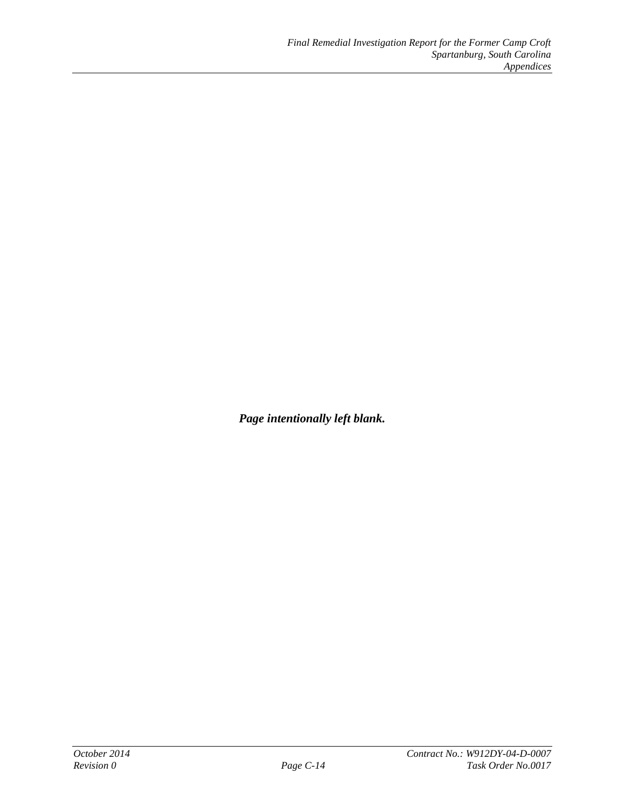*Page intentionally left blank.*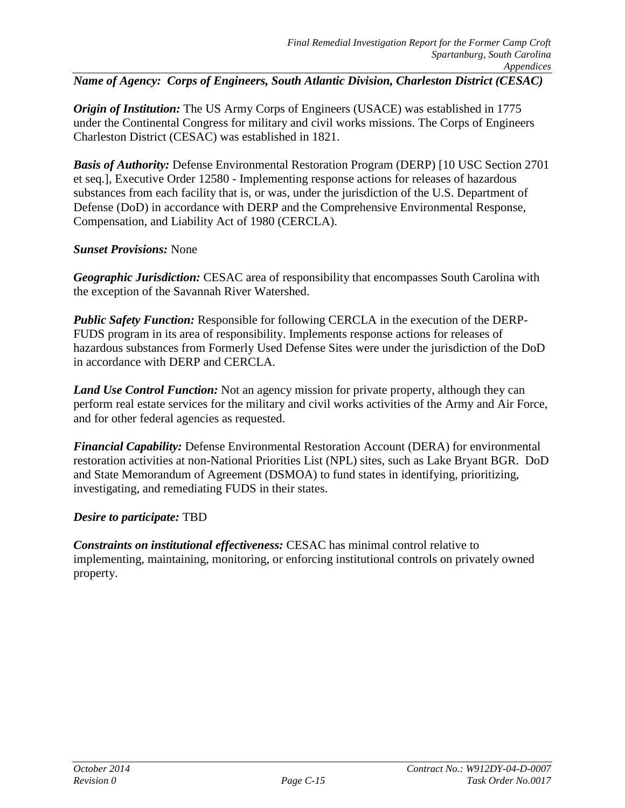*Name of Agency: Corps of Engineers, South Atlantic Division, Charleston District (CESAC)* 

*Origin of Institution:* The US Army Corps of Engineers (USACE) was established in 1775 under the Continental Congress for military and civil works missions. The Corps of Engineers Charleston District (CESAC) was established in 1821.

*Basis of Authority:* Defense Environmental Restoration Program (DERP) [10 USC Section 2701 et seq.], Executive Order 12580 - Implementing response actions for releases of hazardous substances from each facility that is, or was, under the jurisdiction of the U.S. Department of Defense (DoD) in accordance with DERP and the Comprehensive Environmental Response, Compensation, and Liability Act of 1980 (CERCLA).

### *Sunset Provisions:* None

*Geographic Jurisdiction:* CESAC area of responsibility that encompasses South Carolina with the exception of the Savannah River Watershed.

*Public Safety Function:* Responsible for following CERCLA in the execution of the DERP-FUDS program in its area of responsibility. Implements response actions for releases of hazardous substances from Formerly Used Defense Sites were under the jurisdiction of the DoD in accordance with DERP and CERCLA.

*Land Use Control Function:* Not an agency mission for private property, although they can perform real estate services for the military and civil works activities of the Army and Air Force, and for other federal agencies as requested.

*Financial Capability:* Defense Environmental Restoration Account (DERA) for environmental restoration activities at non-National Priorities List (NPL) sites, such as Lake Bryant BGR. DoD and State Memorandum of Agreement (DSMOA) to fund states in identifying, prioritizing, investigating, and remediating FUDS in their states.

#### *Desire to participate:* TBD

*Constraints on institutional effectiveness:* CESAC has minimal control relative to implementing, maintaining, monitoring, or enforcing institutional controls on privately owned property.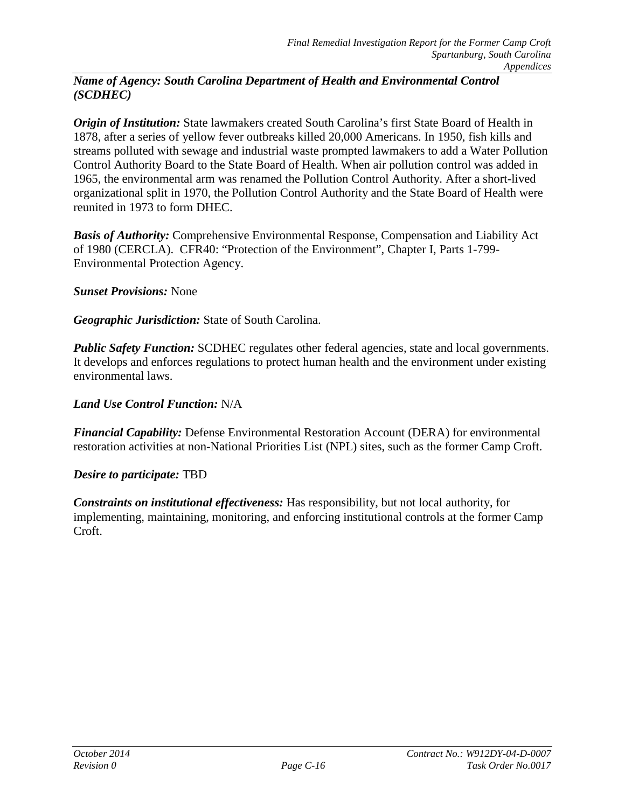### *Name of Agency: South Carolina Department of Health and Environmental Control (SCDHEC)*

*Origin of Institution:* State lawmakers created South Carolina's first State Board of Health in 1878, after a series of yellow fever outbreaks killed 20,000 Americans. In 1950, fish kills and streams polluted with sewage and industrial waste prompted lawmakers to add a Water Pollution Control Authority Board to the State Board of Health. When air pollution control was added in 1965, the environmental arm was renamed the Pollution Control Authority. After a short-lived organizational split in 1970, the Pollution Control Authority and the State Board of Health were reunited in 1973 to form DHEC.

*Basis of Authority:* Comprehensive Environmental Response, Compensation and Liability Act of 1980 (CERCLA). CFR40: "Protection of the Environment", Chapter I, Parts 1-799- Environmental Protection Agency.

*Sunset Provisions:* None

*Geographic Jurisdiction:* State of South Carolina.

*Public Safety Function: SCDHEC regulates other federal agencies, state and local governments.* It develops and enforces regulations to protect human health and the environment under existing environmental laws.

## *Land Use Control Function:* N/A

*Financial Capability:* Defense Environmental Restoration Account (DERA) for environmental restoration activities at non-National Priorities List (NPL) sites, such as the former Camp Croft.

## *Desire to participate:* TBD

*Constraints on institutional effectiveness:* Has responsibility, but not local authority, for implementing, maintaining, monitoring, and enforcing institutional controls at the former Camp Croft.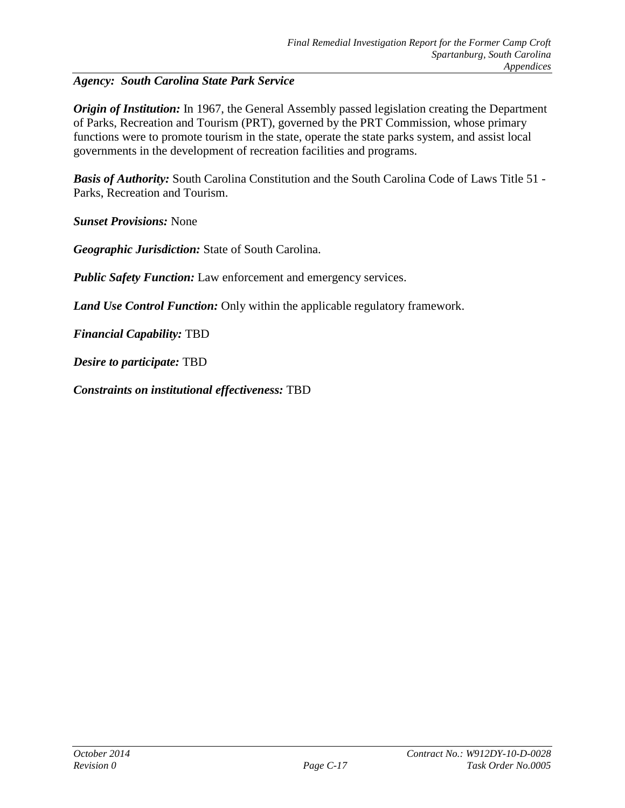## *Agency: South Carolina State Park Service*

*Origin of Institution:* In 1967, the General Assembly passed legislation creating the Department of Parks, Recreation and Tourism (PRT), governed by the PRT Commission, whose primary functions were to promote tourism in the state, operate the state parks system, and assist local governments in the development of recreation facilities and programs.

*Basis of Authority:* South Carolina Constitution and the South Carolina Code of Laws Title 51 - Parks, Recreation and Tourism.

*Sunset Provisions:* None

*Geographic Jurisdiction:* State of South Carolina.

*Public Safety Function:* Law enforcement and emergency services.

*Land Use Control Function:* Only within the applicable regulatory framework.

*Financial Capability:* TBD

*Desire to participate:* TBD

*Constraints on institutional effectiveness:* TBD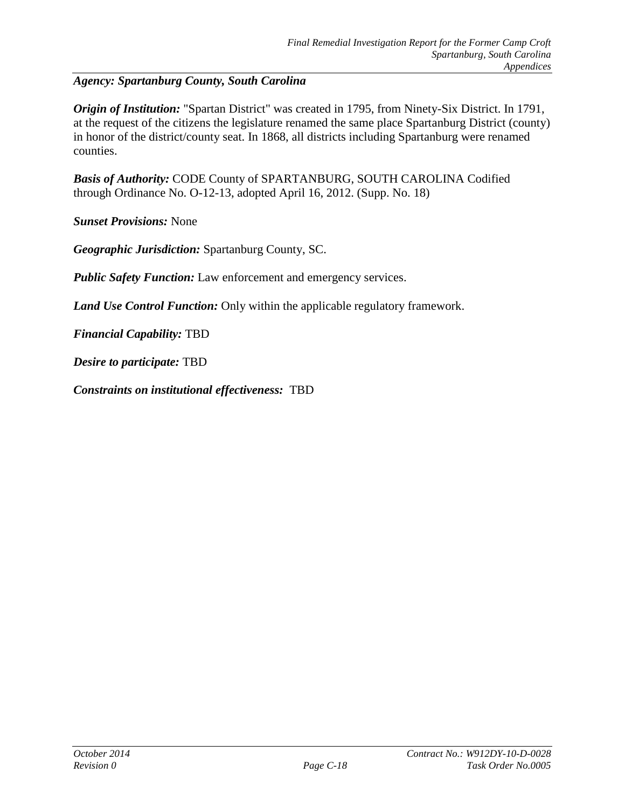## *Agency: Spartanburg County, South Carolina*

*Origin of Institution:* "Spartan District" was created in 1795, from Ninety-Six District. In 1791, at the request of the citizens the legislature renamed the same place Spartanburg District (county) in honor of the district/county seat. In 1868, all districts including Spartanburg were renamed counties.

*Basis of Authority:* CODE County of SPARTANBURG, SOUTH CAROLINA Codified through Ordinance No. O-12-13, adopted April 16, 2012. (Supp. No. 18)

*Sunset Provisions:* None

*Geographic Jurisdiction:* Spartanburg County, SC.

*Public Safety Function:* Law enforcement and emergency services.

*Land Use Control Function:* Only within the applicable regulatory framework.

*Financial Capability:* TBD

*Desire to participate:* TBD

*Constraints on institutional effectiveness:* TBD